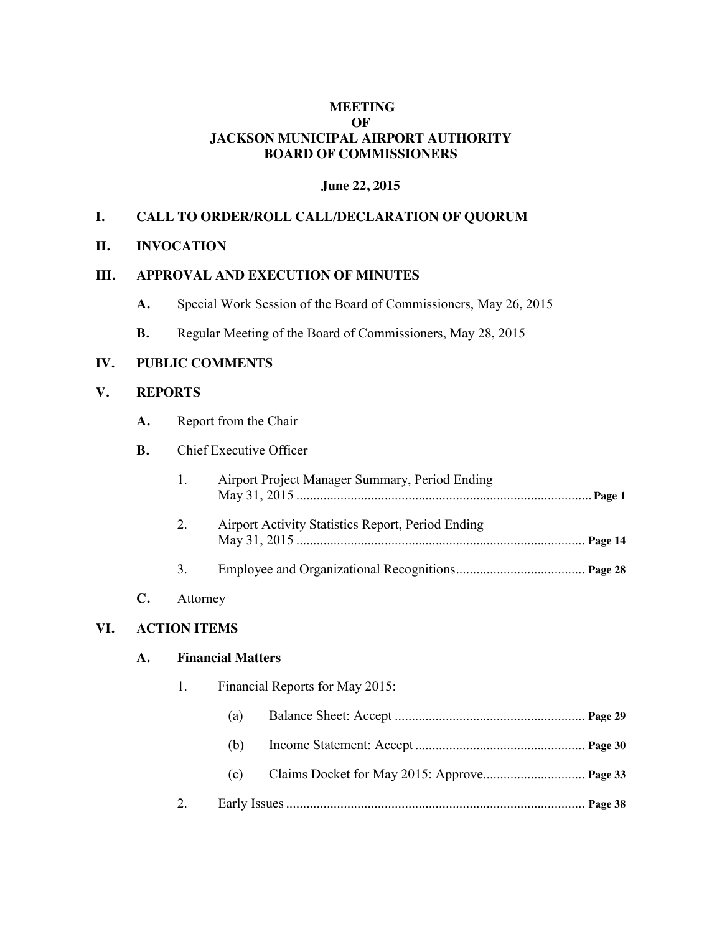### **MEETING OF JACKSON MUNICIPAL AIRPORT AUTHORITY BOARD OF COMMISSIONERS**

### **June 22, 2015**

### **I. CALL TO ORDER/ROLL CALL/DECLARATION OF QUORUM**

#### **II. INVOCATION**

# **III. APPROVAL AND EXECUTION OF MINUTES**

- **A.** Special Work Session of the Board of Commissioners, May 26, 2015
- **B.** Regular Meeting of the Board of Commissioners, May 28, 2015

#### **IV. PUBLIC COMMENTS**

### **V. REPORTS**

**A.** Report from the Chair

## **B.** Chief Executive Officer

| Airport Project Manager Summary, Period Ending    |  |
|---------------------------------------------------|--|
| Airport Activity Statistics Report, Period Ending |  |
|                                                   |  |

### **C.** Attorney

#### **VI. ACTION ITEMS**

#### **A. Financial Matters**

|    | Financial Reports for May 2015: |  |  |  |  |
|----|---------------------------------|--|--|--|--|
|    | (a)                             |  |  |  |  |
|    | (b)                             |  |  |  |  |
|    | (c)                             |  |  |  |  |
| 2. |                                 |  |  |  |  |